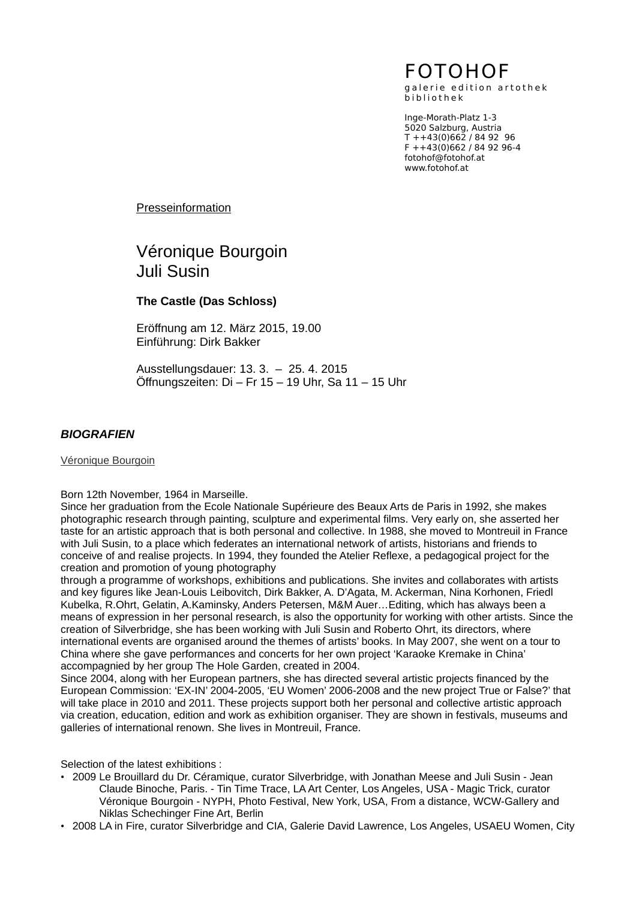# FOTOHOF

galerie edition artothek b i b l i o t h e k

Inge-Morath-Platz 1-3 5020 Salzburg, Austria T ++43(0)662 / 84 92 96  $F$  ++43(0)662 / 84 92 96-4 fotohof@fotohof.at www.fotohof.at

Presseinformation

# Véronique Bourgoin Juli Susin

## **The Castle (Das Schloss)**

Eröffnung am 12. März 2015, 19.00 Einführung: Dirk Bakker

Ausstellungsdauer: 13. 3. – 25. 4. 2015 Öffnungszeiten: Di – Fr 15 – 19 Uhr, Sa 11 – 15 Uhr

## *BIOGRAFIEN*

Véronique Bourgoin

#### Born 12th November, 1964 in Marseille.

Since her graduation from the Ecole Nationale Supérieure des Beaux Arts de Paris in 1992, she makes photographic research through painting, sculpture and experimental films. Very early on, she asserted her taste for an artistic approach that is both personal and collective. In 1988, she moved to Montreuil in France with Juli Susin, to a place which federates an international network of artists, historians and friends to conceive of and realise projects. In 1994, they founded the Atelier Reflexe, a pedagogical project for the creation and promotion of young photography

through a programme of workshops, exhibitions and publications. She invites and collaborates with artists and key figures like Jean-Louis Leibovitch, Dirk Bakker, A. D'Agata, M. Ackerman, Nina Korhonen, Friedl Kubelka, R.Ohrt, Gelatin, A.Kaminsky, Anders Petersen, M&M Auer…Editing, which has always been a means of expression in her personal research, is also the opportunity for working with other artists. Since the creation of Silverbridge, she has been working with Juli Susin and Roberto Ohrt, its directors, where international events are organised around the themes of artists' books. In May 2007, she went on a tour to China where she gave performances and concerts for her own project 'Karaoke Kremake in China' accompagnied by her group The Hole Garden, created in 2004.

Since 2004, along with her European partners, she has directed several artistic projects financed by the European Commission: 'EX-IN' 2004-2005, 'EU Women' 2006-2008 and the new project True or False?' that will take place in 2010 and 2011. These projects support both her personal and collective artistic approach via creation, education, edition and work as exhibition organiser. They are shown in festivals, museums and galleries of international renown. She lives in Montreuil, France.

Selection of the latest exhibitions :

- 2009 Le Brouillard du Dr. Céramique, curator Silverbridge, with Jonathan Meese and Juli Susin Jean Claude Binoche, Paris. - Tin Time Trace, LA Art Center, Los Angeles, USA - Magic Trick, curator Véronique Bourgoin - NYPH, Photo Festival, New York, USA, From a distance, WCW-Gallery and Niklas Schechinger Fine Art, Berlin
- 2008 LA in Fire, curator Silverbridge and CIA, Galerie David Lawrence, Los Angeles, USAEU Women, City